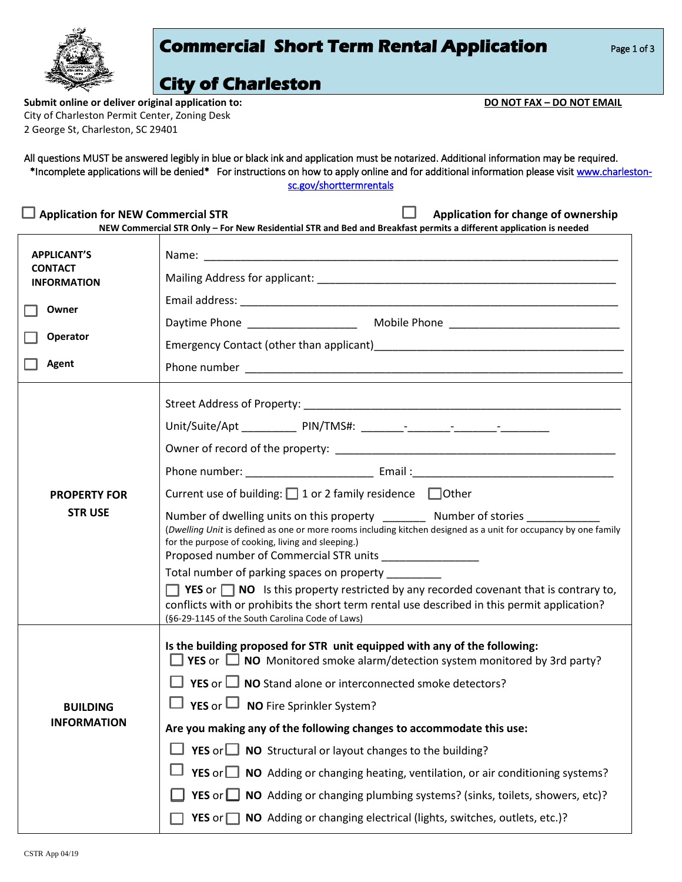|                                                                                                                                                                                                       | <b>Commercial Short Term Rental Application</b><br>Page 1 of 3                                                                                                                                                                                                                                                                                                                                                                                                                                                                                                                                                                                                                                                                                                     |  |  |  |  |
|-------------------------------------------------------------------------------------------------------------------------------------------------------------------------------------------------------|--------------------------------------------------------------------------------------------------------------------------------------------------------------------------------------------------------------------------------------------------------------------------------------------------------------------------------------------------------------------------------------------------------------------------------------------------------------------------------------------------------------------------------------------------------------------------------------------------------------------------------------------------------------------------------------------------------------------------------------------------------------------|--|--|--|--|
| Submit online or deliver original application to:<br>City of Charleston Permit Center, Zoning Desk<br>2 George St, Charleston, SC 29401                                                               | <b>City of Charleston</b><br>DO NOT FAX - DO NOT EMAIL                                                                                                                                                                                                                                                                                                                                                                                                                                                                                                                                                                                                                                                                                                             |  |  |  |  |
|                                                                                                                                                                                                       | All questions MUST be answered legibly in blue or black ink and application must be notarized. Additional information may be required.<br>*Incomplete applications will be denied* For instructions on how to apply online and for additional information please visit www.charleston-<br>sc.gov/shorttermrentals                                                                                                                                                                                                                                                                                                                                                                                                                                                  |  |  |  |  |
| <b>Application for NEW Commercial STR</b><br>Application for change of ownership<br>NEW Commercial STR Only - For New Residential STR and Bed and Breakfast permits a different application is needed |                                                                                                                                                                                                                                                                                                                                                                                                                                                                                                                                                                                                                                                                                                                                                                    |  |  |  |  |
| <b>APPLICANT'S</b>                                                                                                                                                                                    |                                                                                                                                                                                                                                                                                                                                                                                                                                                                                                                                                                                                                                                                                                                                                                    |  |  |  |  |
| <b>CONTACT</b><br><b>INFORMATION</b>                                                                                                                                                                  |                                                                                                                                                                                                                                                                                                                                                                                                                                                                                                                                                                                                                                                                                                                                                                    |  |  |  |  |
|                                                                                                                                                                                                       |                                                                                                                                                                                                                                                                                                                                                                                                                                                                                                                                                                                                                                                                                                                                                                    |  |  |  |  |
| Owner                                                                                                                                                                                                 |                                                                                                                                                                                                                                                                                                                                                                                                                                                                                                                                                                                                                                                                                                                                                                    |  |  |  |  |
| Operator                                                                                                                                                                                              | Emergency Contact (other than applicant) example and the control of the control of the control of the control of the control of the control of the control of the control of the control of the control of the control of the                                                                                                                                                                                                                                                                                                                                                                                                                                                                                                                                      |  |  |  |  |
| Agent                                                                                                                                                                                                 |                                                                                                                                                                                                                                                                                                                                                                                                                                                                                                                                                                                                                                                                                                                                                                    |  |  |  |  |
| <b>PROPERTY FOR</b><br><b>STRUSE</b>                                                                                                                                                                  | Current use of building: $\Box$ 1 or 2 family residence $\Box$ Other                                                                                                                                                                                                                                                                                                                                                                                                                                                                                                                                                                                                                                                                                               |  |  |  |  |
|                                                                                                                                                                                                       | Number of dwelling units on this property ___________ Number of stories<br>(Dwelling Unit is defined as one or more rooms including kitchen designed as a unit for occupancy by one family<br>for the purpose of cooking, living and sleeping.)<br>Proposed number of Commercial STR units<br>Total number of parking spaces on property _<br><b>T</b> YES or $\Box$ NO is this property restricted by any recorded covenant that is contrary to,<br>conflicts with or prohibits the short term rental use described in this permit application?<br>(§6-29-1145 of the South Carolina Code of Laws)                                                                                                                                                                |  |  |  |  |
| <b>BUILDING</b><br><b>INFORMATION</b>                                                                                                                                                                 | Is the building proposed for STR unit equipped with any of the following:<br>$\Box$ YES or $\Box$ NO Monitored smoke alarm/detection system monitored by 3rd party?<br>$\Box$ YES or $\Box$ NO Stand alone or interconnected smoke detectors?<br><b>YES</b> or $\Box$ <b>NO</b> Fire Sprinkler System?<br>Are you making any of the following changes to accommodate this use:<br><b>YES</b> or $\Box$ <b>NO</b> Structural or layout changes to the building?<br><b>YES</b> or $\Box$ <b>NO</b> Adding or changing heating, ventilation, or air conditioning systems?<br>YES or <b>NO</b> Adding or changing plumbing systems? (sinks, toilets, showers, etc)?<br><b>YES</b> or $\Box$ <b>NO</b> Adding or changing electrical (lights, switches, outlets, etc.)? |  |  |  |  |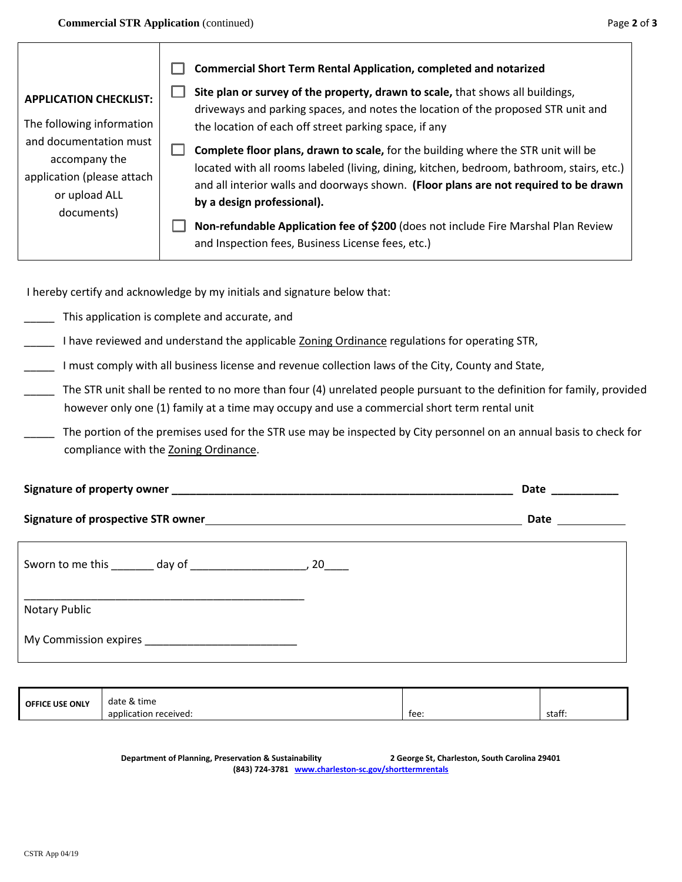|                                                                                                                                   | <b>Commercial Short Term Rental Application, completed and notarized</b>                                                                                                                                                                                                                                    |  |
|-----------------------------------------------------------------------------------------------------------------------------------|-------------------------------------------------------------------------------------------------------------------------------------------------------------------------------------------------------------------------------------------------------------------------------------------------------------|--|
| <b>APPLICATION CHECKLIST:</b>                                                                                                     | Site plan or survey of the property, drawn to scale, that shows all buildings,<br>driveways and parking spaces, and notes the location of the proposed STR unit and                                                                                                                                         |  |
| The following information<br>and documentation must<br>accompany the<br>application (please attach<br>or upload ALL<br>documents) | the location of each off street parking space, if any                                                                                                                                                                                                                                                       |  |
|                                                                                                                                   | <b>Complete floor plans, drawn to scale, for the building where the STR unit will be</b><br>located with all rooms labeled (living, dining, kitchen, bedroom, bathroom, stairs, etc.)<br>and all interior walls and doorways shown. (Floor plans are not required to be drawn<br>by a design professional). |  |
|                                                                                                                                   | Non-refundable Application fee of \$200 (does not include Fire Marshal Plan Review<br>and Inspection fees, Business License fees, etc.)                                                                                                                                                                     |  |

I hereby certify and acknowledge by my initials and signature below that:

- \_\_\_\_\_ This application is complete and accurate, and
- I have reviewed and understand the applicable Zoning Ordinance regulations for operating STR,
- \_\_\_\_\_ I must comply with all business license and revenue collection laws of the City, County and State,
- The STR unit shall be rented to no more than four (4) unrelated people pursuant to the definition for family, provided however only one (1) family at a time may occupy and use a commercial short term rental unit
- The portion of the premises used for the STR use may be inspected by City personnel on an annual basis to check for compliance with the Zoning Ordinance.

| Signature of property owner |  |  |
|-----------------------------|--|--|
|                             |  |  |

**Signature of prospective STR owner Date Date Date Date Date Date Date Date** 

| Sworn to me this day of | 20 |
|-------------------------|----|
| Notary Public           |    |
| My Commission expires   |    |

| <b>OFFICE USE ONLY</b> | date & time                      |      |        |
|------------------------|----------------------------------|------|--------|
|                        | $\cdot$<br>application received: | tee: | staff. |

**Department of Planning, Preservation & Sustainability 2 George St, Charleston, South Carolina 29401 (843) 724-3781 [www.charleston-sc.gov/shorttermrentals](http://www.charleston-sc.gov/shorttermrentals)**